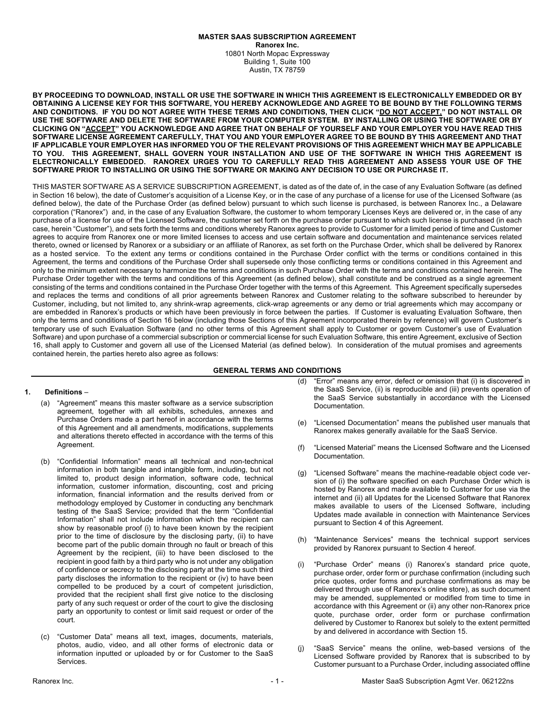#### **MASTER SAAS SUBSCRIPTION AGREEMENT Ranorex Inc.** 10801 North Mopac Expressway Building 1, Suite 100 Austin, TX 78759

**BY PROCEEDING TO DOWNLOAD, INSTALL OR USE THE SOFTWARE IN WHICH THIS AGREEMENT IS ELECTRONICALLY EMBEDDED OR BY OBTAINING A LICENSE KEY FOR THIS SOFTWARE, YOU HEREBY ACKNOWLEDGE AND AGREE TO BE BOUND BY THE FOLLOWING TERMS AND CONDITIONS. IF YOU DO NOT AGREE WITH THESE TERMS AND CONDITIONS, THEN CLICK "DO NOT ACCEPT," DO NOT INSTALL OR USE THE SOFTWARE AND DELETE THE SOFTWARE FROM YOUR COMPUTER SYSTEM. BY INSTALLING OR USING THE SOFTWARE OR BY CLICKING ON "ACCEPT" YOU ACKNOWLEDGE AND AGREE THAT ON BEHALF OF YOURSELF AND YOUR EMPLOYER YOU HAVE READ THIS SOFTWARE LICENSE AGREEMENT CAREFULLY, THAT YOU AND YOUR EMPLOYER AGREE TO BE BOUND BY THIS AGREEMENT AND THAT IF APPLICABLE YOUR EMPLOYER HAS INFORMED YOU OF THE RELEVANT PROVISIONS OF THIS AGREEMENT WHICH MAY BE APPLICABLE TO YOU. THIS AGREEMENT, SHALL GOVERN YOUR INSTALLATION AND USE OF THE SOFTWARE IN WHICH THIS AGREEMENT IS ELECTRONICALLY EMBEDDED. RANOREX URGES YOU TO CAREFULLY READ THIS AGREEMENT AND ASSESS YOUR USE OF THE SOFTWARE PRIOR TO INSTALLING OR USING THE SOFTWARE OR MAKING ANY DECISION TO USE OR PURCHASE IT.**

THIS MASTER SOFTWARE AS A SERVICE SUBSCRIPTION AGREEMENT, is dated as of the date of, in the case of any Evaluation Software (as defined in Section 16 below), the date of Customer's acquisition of a License Key, or in the case of any purchase of a license for use of the Licensed Software (as defined below), the date of the Purchase Order (as defined below) pursuant to which such license is purchased, is between Ranorex Inc., a Delaware corporation ("Ranorex") and, in the case of any Evaluation Software, the customer to whom temporary Licenses Keys are delivered or, in the case of any purchase of a license for use of the Licensed Software, the customer set forth on the purchase order pursuant to which such license is purchased (in each case, herein "Customer"), and sets forth the terms and conditions whereby Ranorex agrees to provide to Customer for a limited period of time and Customer agrees to acquire from Ranorex one or more limited licenses to access and use certain software and documentation and maintenance services related thereto, owned or licensed by Ranorex or a subsidiary or an affiliate of Ranorex, as set forth on the Purchase Order, which shall be delivered by Ranorex as a hosted service. To the extent any terms or conditions contained in the Purchase Order conflict with the terms or conditions contained in this Agreement, the terms and conditions of the Purchase Order shall supersede only those conflicting terms or conditions contained in this Agreement and only to the minimum extent necessary to harmonize the terms and conditions in such Purchase Order with the terms and conditions contained herein. The Purchase Order together with the terms and conditions of this Agreement (as defined below), shall constitute and be construed as a single agreement consisting of the terms and conditions contained in the Purchase Order together with the terms of this Agreement. This Agreement specifically supersedes and replaces the terms and conditions of all prior agreements between Ranorex and Customer relating to the software subscribed to hereunder by Customer, including, but not limited to, any shrink-wrap agreements, click-wrap agreements or any demo or trial agreements which may accompany or are embedded in Ranorex's products or which have been previously in force between the parties. If Customer is evaluating Evaluation Software, then only the terms and conditions of Section 16 below (including those Sections of this Agreement incorporated therein by reference) will govern Customer's temporary use of such Evaluation Software (and no other terms of this Agreement shall apply to Customer or govern Customer's use of Evaluation Software) and upon purchase of a commercial subscription or commercial license for such Evaluation Software, this entire Agreement, exclusive of Section 16, shall apply to Customer and govern all use of the Licensed Material (as defined below). In consideration of the mutual promises and agreements contained herein, the parties hereto also agree as follows:

# **GENERAL TERMS AND CONDITIONS**

### **1. Definitions** –

- (a) "Agreement" means this master software as a service subscription agreement, together with all exhibits, schedules, annexes and Purchase Orders made a part hereof in accordance with the terms of this Agreement and all amendments, modifications, supplements and alterations thereto effected in accordance with the terms of this Agreement.
- (b) "Confidential Information" means all technical and non-technical information in both tangible and intangible form, including, but not limited to, product design information, software code, technical information, customer information, discounting, cost and pricing information, financial information and the results derived from or methodology employed by Customer in conducting any benchmark testing of the SaaS Service; provided that the term "Confidential Information" shall not include information which the recipient can show by reasonable proof (i) to have been known by the recipient prior to the time of disclosure by the disclosing party, (ii) to have become part of the public domain through no fault or breach of this Agreement by the recipient, (iii) to have been disclosed to the recipient in good faith by a third party who is not under any obligation of confidence or secrecy to the disclosing party at the time such third party discloses the information to the recipient or (iv) to have been compelled to be produced by a court of competent jurisdiction, provided that the recipient shall first give notice to the disclosing party of any such request or order of the court to give the disclosing party an opportunity to contest or limit said request or order of the court.
- (c) "Customer Data" means all text, images, documents, materials, photos, audio, video, and all other forms of electronic data or information inputted or uploaded by or for Customer to the SaaS Services.
- (d) "Error" means any error, defect or omission that (i) is discovered in the SaaS Service, (ii) is reproducible and (iii) prevents operation of the SaaS Service substantially in accordance with the Licensed Documentation.
- (e) "Licensed Documentation" means the published user manuals that Ranorex makes generally available for the SaaS Service.
- (f) "Licensed Material" means the Licensed Software and the Licensed Documentation.
- (g) "Licensed Software" means the machine-readable object code version of (i) the software specified on each Purchase Order which is hosted by Ranorex and made available to Customer for use via the internet and (ii) all Updates for the Licensed Software that Ranorex makes available to users of the Licensed Software, including Updates made available in connection with Maintenance Services pursuant to Section 4 of this Agreement.
- (h) "Maintenance Services" means the technical support services provided by Ranorex pursuant to Section 4 hereof.
- "Purchase Order" means (i) Ranorex's standard price quote, purchase order, order form or purchase confirmation (including such price quotes, order forms and purchase confirmations as may be delivered through use of Ranorex's online store), as such document may be amended, supplemented or modified from time to time in accordance with this Agreement or (ii) any other non-Ranorex price quote, purchase order, order form or purchase confirmation delivered by Customer to Ranorex but solely to the extent permitted by and delivered in accordance with Section 15.
- (j) "SaaS Service" means the online, web-based versions of the Licensed Software provided by Ranorex that is subscribed to by Customer pursuant to a Purchase Order, including associated offline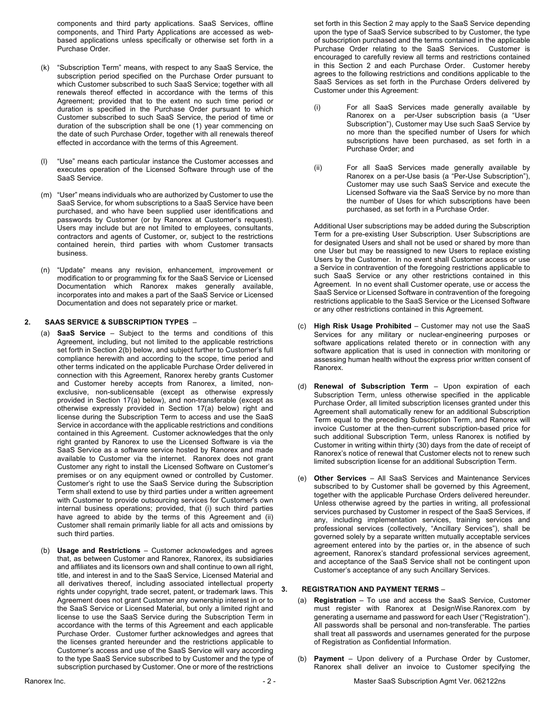components and third party applications. SaaS Services, offline components, and Third Party Applications are accessed as webbased applications unless specifically or otherwise set forth in a Purchase Order.

- (k) "Subscription Term" means, with respect to any SaaS Service, the subscription period specified on the Purchase Order pursuant to which Customer subscribed to such SaaS Service; together with all renewals thereof effected in accordance with the terms of this Agreement; provided that to the extent no such time period or duration is specified in the Purchase Order pursuant to which Customer subscribed to such SaaS Service, the period of time or duration of the subscription shall be one (1) year commencing on the date of such Purchase Order, together with all renewals thereof effected in accordance with the terms of this Agreement.
- (l) "Use" means each particular instance the Customer accesses and executes operation of the Licensed Software through use of the SaaS Service.
- (m) "User" means individuals who are authorized by Customer to use the SaaS Service, for whom subscriptions to a SaaS Service have been purchased, and who have been supplied user identifications and passwords by Customer (or by Ranorex at Customer's request). Users may include but are not limited to employees, consultants, contractors and agents of Customer, or, subject to the restrictions contained herein, third parties with whom Customer transacts business.
- (n) "Update" means any revision, enhancement, improvement or modification to or programming fix for the SaaS Service or Licensed Documentation which Ranorex makes generally available, incorporates into and makes a part of the SaaS Service or Licensed Documentation and does not separately price or market.

### **2. SAAS SERVICE & SUBSCRIPTION TYPES** –

- (a) **SaaS Service** Subject to the terms and conditions of this Agreement, including, but not limited to the applicable restrictions set forth in Section 2(b) below, and subject further to Customer's full compliance herewith and according to the scope, time period and other terms indicated on the applicable Purchase Order delivered in connection with this Agreement, Ranorex hereby grants Customer and Customer hereby accepts from Ranorex, a limited, nonexclusive, non-sublicensable (except as otherwise expressly provided in Section 17(a) below), and non-transferable (except as otherwise expressly provided in Section 17(a) below) right and license during the Subscription Term to access and use the SaaS Service in accordance with the applicable restrictions and conditions contained in this Agreement. Customer acknowledges that the only right granted by Ranorex to use the Licensed Software is via the SaaS Service as a software service hosted by Ranorex and made available to Customer via the internet. Ranorex does not grant Customer any right to install the Licensed Software on Customer's premises or on any equipment owned or controlled by Customer. Customer's right to use the SaaS Service during the Subscription Term shall extend to use by third parties under a written agreement with Customer to provide outsourcing services for Customer's own internal business operations; provided, that (i) such third parties have agreed to abide by the terms of this Agreement and (ii) Customer shall remain primarily liable for all acts and omissions by such third parties.
- (b) **Usage and Restrictions** Customer acknowledges and agrees that, as between Customer and Ranorex, Ranorex, its subsidiaries and affiliates and its licensors own and shall continue to own all right, title, and interest in and to the SaaS Service, Licensed Material and all derivatives thereof, including associated intellectual property rights under copyright, trade secret, patent, or trademark laws. This Agreement does not grant Customer any ownership interest in or to the SaaS Service or Licensed Material, but only a limited right and license to use the SaaS Service during the Subscription Term in accordance with the terms of this Agreement and each applicable Purchase Order. Customer further acknowledges and agrees that the licenses granted hereunder and the restrictions applicable to Customer's access and use of the SaaS Service will vary according to the type SaaS Service subscribed to by Customer and the type of subscription purchased by Customer. One or more of the restrictions

set forth in this Section 2 may apply to the SaaS Service depending upon the type of SaaS Service subscribed to by Customer, the type of subscription purchased and the terms contained in the applicable Purchase Order relating to the SaaS Services. Customer is encouraged to carefully review all terms and restrictions contained in this Section 2 and each Purchase Order. Customer hereby agrees to the following restrictions and conditions applicable to the SaaS Services as set forth in the Purchase Orders delivered by Customer under this Agreement:

- (i) For all SaaS Services made generally available by Ranorex on a per-User subscription basis (a "User Subscription"), Customer may Use such SaaS Service by no more than the specified number of Users for which subscriptions have been purchased, as set forth in a Purchase Order; and
- (ii) For all SaaS Services made generally available by Ranorex on a per-Use basis (a "Per-Use Subscription"), Customer may use such SaaS Service and execute the Licensed Software via the SaaS Service by no more than the number of Uses for which subscriptions have been purchased, as set forth in a Purchase Order.

Additional User subscriptions may be added during the Subscription Term for a pre-existing User Subscription. User Subscriptions are for designated Users and shall not be used or shared by more than one User but may be reassigned to new Users to replace existing Users by the Customer. In no event shall Customer access or use a Service in contravention of the foregoing restrictions applicable to such SaaS Service or any other restrictions contained in this Agreement. In no event shall Customer operate, use or access the SaaS Service or Licensed Software in contravention of the foregoing restrictions applicable to the SaaS Service or the Licensed Software or any other restrictions contained in this Agreement.

- (c) **High Risk Usage Prohibited** Customer may not use the SaaS Services for any military or nuclear-engineering purposes or software applications related thereto or in connection with any software application that is used in connection with monitoring or assessing human health without the express prior written consent of Ranorex.
- (d) **Renewal of Subscription Term** Upon expiration of each Subscription Term, unless otherwise specified in the applicable Purchase Order, all limited subscription licenses granted under this Agreement shall automatically renew for an additional Subscription Term equal to the preceding Subscription Term, and Ranorex will invoice Customer at the then-current subscription-based price for such additional Subscription Term, unless Ranorex is notified by Customer in writing within thirty (30) days from the date of receipt of Ranorex's notice of renewal that Customer elects not to renew such limited subscription license for an additional Subscription Term.
- (e) **Other Services**  All SaaS Services and Maintenance Services subscribed to by Customer shall be governed by this Agreement, together with the applicable Purchase Orders delivered hereunder. Unless otherwise agreed by the parties in writing, all professional services purchased by Customer in respect of the SaaS Services, if any, including implementation services, training services and professional services (collectively, "Ancillary Services"), shall be governed solely by a separate written mutually acceptable services agreement entered into by the parties or, in the absence of such agreement, Ranorex's standard professional services agreement, and acceptance of the SaaS Service shall not be contingent upon Customer's acceptance of any such Ancillary Services.

### **3. REGISTRATION AND PAYMENT TERMS** –

- (a) **Registration** To use and access the SaaS Service, Customer must register with Ranorex at DesignWise.Ranorex.com by generating a username and password for each User ("Registration"). All passwords shall be personal and non-transferable. The parties shall treat all passwords and usernames generated for the purpose of Registration as Confidential Information.
- (b) **Payment** Upon delivery of a Purchase Order by Customer, Ranorex shall deliver an invoice to Customer specifying the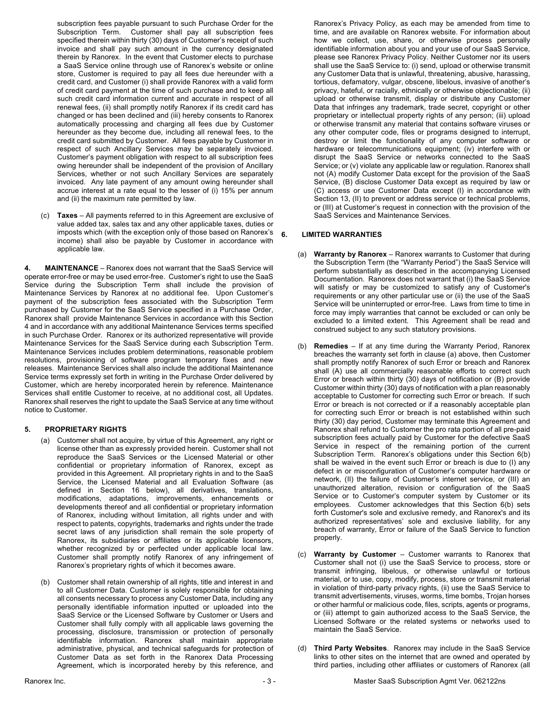subscription fees payable pursuant to such Purchase Order for the Subscription Term. Customer shall pay all subscription fees specified therein within thirty (30) days of Customer's receipt of such invoice and shall pay such amount in the currency designated therein by Ranorex. In the event that Customer elects to purchase a SaaS Service online through use of Ranorex's website or online store, Customer is required to pay all fees due hereunder with a credit card, and Customer (i) shall provide Ranorex with a valid form of credit card payment at the time of such purchase and to keep all such credit card information current and accurate in respect of all renewal fees, (ii) shall promptly notify Ranorex if its credit card has changed or has been declined and (iii) hereby consents to Ranorex automatically processing and charging all fees due by Customer hereunder as they become due, including all renewal fees, to the credit card submitted by Customer. All fees payable by Customer in respect of such Ancillary Services may be separately invoiced. Customer's payment obligation with respect to all subscription fees owing hereunder shall be independent of the provision of Ancillary Services, whether or not such Ancillary Services are separately invoiced. Any late payment of any amount owing hereunder shall accrue interest at a rate equal to the lesser of (i) 15% per annum and (ii) the maximum rate permitted by law.

(c) **Taxes** – All payments referred to in this Agreement are exclusive of value added tax, sales tax and any other applicable taxes, duties or imposts which (with the exception only of those based on Ranorex's income) shall also be payable by Customer in accordance with applicable law.

**4. MAINTENANCE** – Ranorex does not warrant that the SaaS Service will operate error-free or may be used error-free. Customer's right to use the SaaS Service during the Subscription Term shall include the provision of Maintenance Services by Ranorex at no additional fee. Upon Customer's payment of the subscription fees associated with the Subscription Term purchased by Customer for the SaaS Service specified in a Purchase Order, Ranorex shall provide Maintenance Services in accordance with this Section 4 and in accordance with any additional Maintenance Services terms specified in such Purchase Order. Ranorex or its authorized representative will provide Maintenance Services for the SaaS Service during each Subscription Term. Maintenance Services includes problem determinations, reasonable problem resolutions, provisioning of software program temporary fixes and new releases. Maintenance Services shall also include the additional Maintenance Service terms expressly set forth in writing in the Purchase Order delivered by Customer, which are hereby incorporated herein by reference. Maintenance Services shall entitle Customer to receive, at no additional cost, all Updates. Ranorex shall reserves the right to update the SaaS Service at any time without notice to Customer.

# **5. PROPRIETARY RIGHTS**

- (a) Customer shall not acquire, by virtue of this Agreement, any right or license other than as expressly provided herein. Customer shall not reproduce the SaaS Services or the Licensed Material or other confidential or proprietary information of Ranorex, except as provided in this Agreement. All proprietary rights in and to the SaaS Service, the Licensed Material and all Evaluation Software (as defined in Section 16 below), all derivatives, translations, modifications, adaptations, improvements, enhancements or developments thereof and all confidential or proprietary information of Ranorex, including without limitation, all rights under and with respect to patents, copyrights, trademarks and rights under the trade secret laws of any jurisdiction shall remain the sole property of Ranorex, its subsidiaries or affiliates or its applicable licensors, whether recognized by or perfected under applicable local law. Customer shall promptly notify Ranorex of any infringement of Ranorex's proprietary rights of which it becomes aware.
- (b) Customer shall retain ownership of all rights, title and interest in and to all Customer Data. Customer is solely responsible for obtaining all consents necessary to process any Customer Data, including any personally identifiable information inputted or uploaded into the SaaS Service or the Licensed Software by Customer or Users and Customer shall fully comply with all applicable laws governing the processing, disclosure, transmission or protection of personally identifiable information. Ranorex shall maintain appropriate administrative, physical, and technical safeguards for protection of Customer Data as set forth in the Ranorex Data Processing Agreement, which is incorporated hereby by this reference, and

Ranorex's Privacy Policy, as each may be amended from time to time, and are available on Ranorex website. For information about how we collect, use, share, or otherwise process personally identifiable information about you and your use of our SaaS Service, please see Ranorex Privacy Policy. Neither Customer nor its users shall use the SaaS Service to: (i) send, upload or otherwise transmit any Customer Data that is unlawful, threatening, abusive, harassing, tortious, defamatory, vulgar, obscene, libelous, invasive of another's privacy, hateful, or racially, ethnically or otherwise objectionable; (ii) upload or otherwise transmit, display or distribute any Customer Data that infringes any trademark, trade secret, copyright or other proprietary or intellectual property rights of any person; (iii) upload or otherwise transmit any material that contains software viruses or any other computer code, files or programs designed to interrupt, destroy or limit the functionality of any computer software or hardware or telecommunications equipment; (iv) interfere with or disrupt the SaaS Service or networks connected to the SaaS Service; or (v) violate any applicable law or regulation. Ranorex shall not (A) modify Customer Data except for the provision of the SaaS Service, (B) disclose Customer Data except as required by law or (C) access or use Customer Data except (I) in accordance with Section 13, (II) to prevent or address service or technical problems, or (III) at Customer's request in connection with the provision of the SaaS Services and Maintenance Services.

### **6. LIMITED WARRANTIES**

- (a) **Warranty by Ranorex** Ranorex warrants to Customer that during the Subscription Term (the "Warranty Period") the SaaS Service will perform substantially as described in the accompanying Licensed Documentation. Ranorex does not warrant that (i) the SaaS Service will satisfy or may be customized to satisfy any of Customer's requirements or any other particular use or (ii) the use of the SaaS Service will be uninterrupted or error-free. Laws from time to time in force may imply warranties that cannot be excluded or can only be excluded to a limited extent. This Agreement shall be read and construed subject to any such statutory provisions.
- (b) **Remedies**  If at any time during the Warranty Period, Ranorex breaches the warranty set forth in clause (a) above, then Customer shall promptly notify Ranorex of such Error or breach and Ranorex shall (A) use all commercially reasonable efforts to correct such Error or breach within thirty (30) days of notification or (B) provide Customer within thirty (30) days of notification with a plan reasonably acceptable to Customer for correcting such Error or breach. If such Error or breach is not corrected or if a reasonably acceptable plan for correcting such Error or breach is not established within such thirty (30) day period, Customer may terminate this Agreement and Ranorex shall refund to Customer the pro rata portion of all pre-paid subscription fees actually paid by Customer for the defective SaaS Service in respect of the remaining portion of the current Subscription Term. Ranorex's obligations under this Section 6(b) shall be waived in the event such Error or breach is due to (I) any defect in or misconfiguration of Customer's computer hardware or network, (II) the failure of Customer's internet service, or (III) an unauthorized alteration, revision or configuration of the SaaS Service or to Customer's computer system by Customer or its employees. Customer acknowledges that this Section 6(b) sets forth Customer's sole and exclusive remedy, and Ranorex's and its authorized representatives' sole and exclusive liability, for any breach of warranty, Error or failure of the SaaS Service to function properly.
- (c) **Warranty by Customer**  Customer warrants to Ranorex that Customer shall not (i) use the SaaS Service to process, store or transmit infringing, libelous, or otherwise unlawful or tortious material, or to use, copy, modify, process, store or transmit material in violation of third-party privacy rights, (ii) use the SaaS Service to transmit advertisements, viruses, worms, time bombs, Trojan horses or other harmful or malicious code, files, scripts, agents or programs, or (iii) attempt to gain authorized access to the SaaS Service, the Licensed Software or the related systems or networks used to maintain the SaaS Service.
- (d) **Third Party Websites**. Ranorex may include in the SaaS Service links to other sites on the internet that are owned and operated by third parties, including other affiliates or customers of Ranorex (all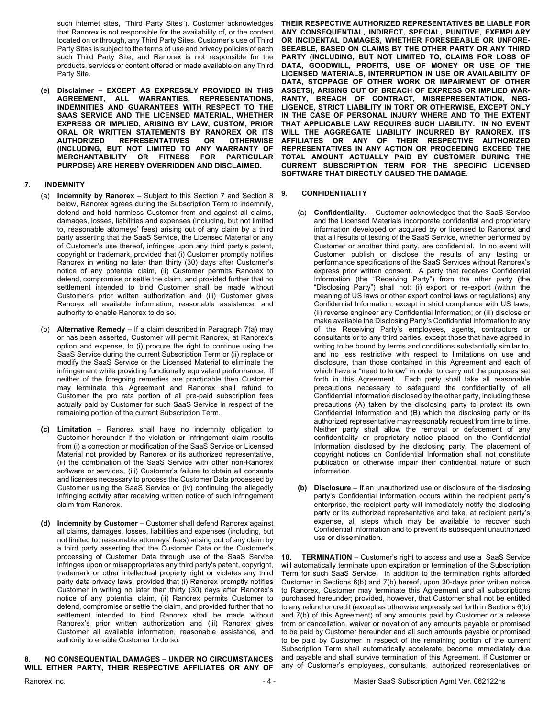such internet sites, "Third Party Sites"). Customer acknowledges that Ranorex is not responsible for the availability of, or the content located on or through, any Third Party Sites. Customer's use of Third Party Sites is subject to the terms of use and privacy policies of each such Third Party Site, and Ranorex is not responsible for the products, services or content offered or made available on any Third Party Site.

**(e) Disclaimer – EXCEPT AS EXPRESSLY PROVIDED IN THIS AGREEMENT, ALL WARRANTIES, REPRESENTATIONS, INDEMNITIES AND GUARANTEES WITH RESPECT TO THE SAAS SERVICE AND THE LICENSED MATERIAL, WHETHER EXPRESS OR IMPLIED, ARISING BY LAW, CUSTOM, PRIOR ORAL OR WRITTEN STATEMENTS BY RANOREX OR ITS AUTHORIZED REPRESENTATIVES OR OTHERWISE (INCLUDING, BUT NOT LIMITED TO ANY WARRANTY OF MERCHANTABILITY OR FITNESS FOR PARTICULAR PURPOSE) ARE HEREBY OVERRIDDEN AND DISCLAIMED.**

### **7. INDEMNITY**

- (a) **Indemnity by Ranorex** Subject to this Section 7 and Section 8 below, Ranorex agrees during the Subscription Term to indemnify, defend and hold harmless Customer from and against all claims, damages, losses, liabilities and expenses (including, but not limited to, reasonable attorneys' fees) arising out of any claim by a third party asserting that the SaaS Service, the Licensed Material or any of Customer's use thereof, infringes upon any third party's patent, copyright or trademark, provided that (i) Customer promptly notifies Ranorex in writing no later than thirty (30) days after Customer's notice of any potential claim, (ii) Customer permits Ranorex to defend, compromise or settle the claim, and provided further that no settlement intended to bind Customer shall be made without Customer's prior written authorization and (iii) Customer gives Ranorex all available information, reasonable assistance, and authority to enable Ranorex to do so.
- (b) **Alternative Remedy** If a claim described in Paragraph 7(a) may or has been asserted, Customer will permit Ranorex, at Ranorex's option and expense, to (i) procure the right to continue using the SaaS Service during the current Subscription Term or (ii) replace or modify the SaaS Service or the Licensed Material to eliminate the infringement while providing functionally equivalent performance. If neither of the foregoing remedies are practicable then Customer may terminate this Agreement and Ranorex shall refund to Customer the pro rata portion of all pre-paid subscription fees actually paid by Customer for such SaaS Service in respect of the remaining portion of the current Subscription Term.
- **(c) Limitation** Ranorex shall have no indemnity obligation to Customer hereunder if the violation or infringement claim results from (i) a correction or modification of the SaaS Service or Licensed Material not provided by Ranorex or its authorized representative, (ii) the combination of the SaaS Service with other non-Ranorex software or services, (iii) Customer's failure to obtain all consents and licenses necessary to process the Customer Data processed by Customer using the SaaS Service or (iv) continuing the allegedly infringing activity after receiving written notice of such infringement claim from Ranorex.
- **(d) Indemnity by Customer**  Customer shall defend Ranorex against all claims, damages, losses, liabilities and expenses (including, but not limited to, reasonable attorneys' fees) arising out of any claim by a third party asserting that the Customer Data or the Customer's processing of Customer Data through use of the SaaS Service infringes upon or misappropriates any third party's patent, copyright, trademark or other intellectual property right or violates any third party data privacy laws, provided that (i) Ranorex promptly notifies Customer in writing no later than thirty (30) days after Ranorex's notice of any potential claim, (ii) Ranorex permits Customer to defend, compromise or settle the claim, and provided further that no settlement intended to bind Ranorex shall be made without Ranorex's prior written authorization and (iii) Ranorex gives Customer all available information, reasonable assistance, and authority to enable Customer to do so.

# **8. NO CONSEQUENTIAL DAMAGES – UNDER NO CIRCUMSTANCES WILL EITHER PARTY, THEIR RESPECTIVE AFFILIATES OR ANY OF**

**THEIR RESPECTIVE AUTHORIZED REPRESENTATIVES BE LIABLE FOR ANY CONSEQUENTIAL, INDIRECT, SPECIAL, PUNITIVE, EXEMPLARY OR INCIDENTAL DAMAGES, WHETHER FORESEEABLE OR UNFORE-SEEABLE, BASED ON CLAIMS BY THE OTHER PARTY OR ANY THIRD PARTY (INCLUDING, BUT NOT LIMITED TO, CLAIMS FOR LOSS OF DATA, GOODWILL, PROFITS, USE OF MONEY OR USE OF THE LICENSED MATERIALS, INTERRUPTION IN USE OR AVAILABILITY OF DATA, STOPPAGE OF OTHER WORK OR IMPAIRMENT OF OTHER ASSETS), ARISING OUT OF BREACH OF EXPRESS OR IMPLIED WAR-RANTY, BREACH OF CONTRACT, MISREPRESENTATION, NEG-LIGENCE, STRICT LIABILITY IN TORT OR OTHERWISE, EXCEPT ONLY IN THE CASE OF PERSONAL INJURY WHERE AND TO THE EXTENT THAT APPLICABLE LAW REQUIRES SUCH LIABILITY. IN NO EVENT WILL THE AGGREGATE LIABILITY INCURRED BY RANOREX, ITS AFFILIATES OR ANY OF THEIR RESPECTIVE AUTHORIZED REPRESENTATIVES IN ANY ACTION OR PROCEEDING EXCEED THE TOTAL AMOUNT ACTUALLY PAID BY CUSTOMER DURING THE CURRENT SUBSCRIPTION TERM FOR THE SPECIFIC LICENSED SOFTWARE THAT DIRECTLY CAUSED THE DAMAGE.**

# **9. CONFIDENTIALITY**

- (a) **Confidentiality.** Customer acknowledges that the SaaS Service and the Licensed Materials incorporate confidential and proprietary information developed or acquired by or licensed to Ranorex and that all results of testing of the SaaS Service, whether performed by Customer or another third party, are confidential. In no event will Customer publish or disclose the results of any testing or performance specifications of the SaaS Services without Ranorex's express prior written consent. A party that receives Confidential Information (the "Receiving Party") from the other party (the "Disclosing Party") shall not: (i) export or re-export (within the meaning of US laws or other export control laws or regulations) any Confidential Information, except in strict compliance with US laws; (ii) reverse engineer any Confidential Information; or (iii) disclose or make available the Disclosing Party's Confidential Information to any of the Receiving Party's employees, agents, contractors or consultants or to any third parties, except those that have agreed in writing to be bound by terms and conditions substantially similar to, and no less restrictive with respect to limitations on use and disclosure, than those contained in this Agreement and each of which have a "need to know" in order to carry out the purposes set forth in this Agreement. Each party shall take all reasonable precautions necessary to safeguard the confidentiality of all Confidential Information disclosed by the other party, including those precautions (A) taken by the disclosing party to protect its own Confidential Information and (B) which the disclosing party or its authorized representative may reasonably request from time to time. Neither party shall allow the removal or defacement of any confidentiality or proprietary notice placed on the Confidential Information disclosed by the disclosing party. The placement of copyright notices on Confidential Information shall not constitute publication or otherwise impair their confidential nature of such information.
- **(b) Disclosure**  If an unauthorized use or disclosure of the disclosing party's Confidential Information occurs within the recipient party's enterprise, the recipient party will immediately notify the disclosing party or its authorized representative and take, at recipient party's expense, all steps which may be available to recover such Confidential Information and to prevent its subsequent unauthorized use or dissemination.

**10. TERMINATION** – Customer's right to access and use a SaaS Service will automatically terminate upon expiration or termination of the Subscription Term for such SaaS Service. In addition to the termination rights afforded Customer in Sections 6(b) and 7(b) hereof, upon 30-days prior written notice to Ranorex, Customer may terminate this Agreement and all subscriptions purchased hereunder; provided, however, that Customer shall not be entitled to any refund or credit (except as otherwise expressly set forth in Sections 6(b) and 7(b) of this Agreement) of any amounts paid by Customer or a release from or cancellation, waiver or novation of any amounts payable or promised to be paid by Customer hereunder and all such amounts payable or promised to be paid by Customer in respect of the remaining portion of the current Subscription Term shall automatically accelerate, become immediately due and payable and shall survive termination of this Agreement. If Customer or any of Customer's employees, consultants, authorized representatives or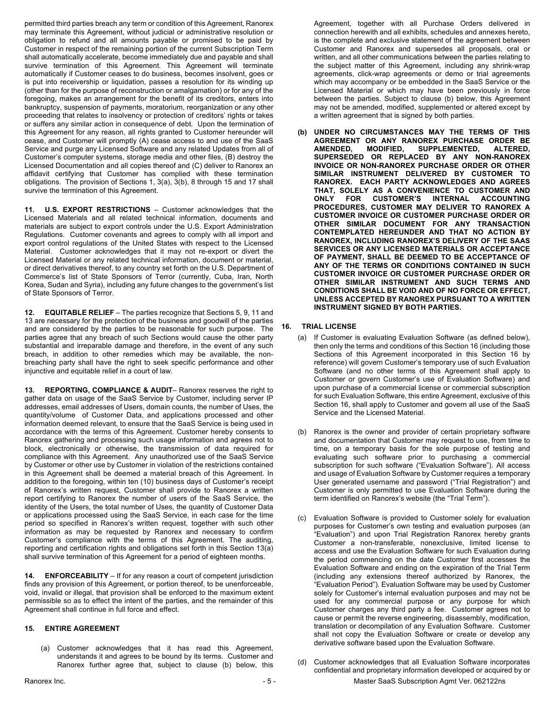permitted third parties breach any term or condition of this Agreement, Ranorex may terminate this Agreement, without judicial or administrative resolution or obligation to refund and all amounts payable or promised to be paid by Customer in respect of the remaining portion of the current Subscription Term shall automatically accelerate, become immediately due and payable and shall survive termination of this Agreement. This Agreement will terminate automatically if Customer ceases to do business, becomes insolvent, goes or is put into receivership or liquidation, passes a resolution for its winding up (other than for the purpose of reconstruction or amalgamation) or for any of the foregoing, makes an arrangement for the benefit of its creditors, enters into bankruptcy, suspension of payments, moratorium, reorganization or any other proceeding that relates to insolvency or protection of creditors' rights or takes or suffers any similar action in consequence of debt. Upon the termination of this Agreement for any reason, all rights granted to Customer hereunder will cease, and Customer will promptly (A) cease access to and use of the SaaS Service and purge any Licensed Software and any related Updates from all of Customer's computer systems, storage media and other files, (B) destroy the Licensed Documentation and all copies thereof and (C) deliver to Ranorex an affidavit certifying that Customer has complied with these termination obligations. The provision of Sections 1, 3(a), 3(b), 8 through 15 and 17 shall survive the termination of this Agreement.

**11. U.S. EXPORT RESTRICTIONS** – Customer acknowledges that the Licensed Materials and all related technical information, documents and materials are subject to export controls under the U.S. Export Administration Regulations. Customer covenants and agrees to comply with all import and export control regulations of the United States with respect to the Licensed Material. Customer acknowledges that it may not re-export or divert the Licensed Material or any related technical information, document or material, or direct derivatives thereof, to any country set forth on the U.S. Department of Commerce's list of State Sponsors of Terror (currently, Cuba, Iran, North Korea, Sudan and Syria), including any future changes to the government's list of State Sponsors of Terror.

**12. EQUITABLE RELIEF** – The parties recognize that Sections 5, 9, 11 and 13 are necessary for the protection of the business and goodwill of the parties and are considered by the parties to be reasonable for such purpose. The parties agree that any breach of such Sections would cause the other party substantial and irreparable damage and therefore, in the event of any such breach, in addition to other remedies which may be available, the nonbreaching party shall have the right to seek specific performance and other injunctive and equitable relief in a court of law.

**13. REPORTING, COMPLIANCE & AUDIT**– Ranorex reserves the right to gather data on usage of the SaaS Service by Customer, including server IP addresses, email addresses of Users, domain counts, the number of Uses, the quantity/volume of Customer Data, and applications processed and other information deemed relevant, to ensure that the SaaS Service is being used in accordance with the terms of this Agreement. Customer hereby consents to Ranorex gathering and processing such usage information and agrees not to block, electronically or otherwise, the transmission of data required for compliance with this Agreement. Any unauthorized use of the SaaS Service by Customer or other use by Customer in violation of the restrictions contained in this Agreement shall be deemed a material breach of this Agreement. In addition to the foregoing, within ten (10) business days of Customer's receipt of Ranorex's written request, Customer shall provide to Ranorex a written report certifying to Ranorex the number of users of the SaaS Service, the identity of the Users, the total number of Uses, the quantity of Customer Data or applications processed using the SaaS Service, in each case for the time period so specified in Ranorex's written request, together with such other information as may be requested by Ranorex and necessary to confirm Customer's compliance with the terms of this Agreement. The auditing, reporting and certification rights and obligations set forth in this Section 13(a) shall survive termination of this Agreement for a period of eighteen months.

**14. ENFORCEABILITY** – If for any reason a court of competent jurisdiction finds any provision of this Agreement, or portion thereof, to be unenforceable, void, invalid or illegal, that provision shall be enforced to the maximum extent permissible so as to effect the intent of the parties, and the remainder of this Agreement shall continue in full force and effect.

# **15. ENTIRE AGREEMENT**

(a) Customer acknowledges that it has read this Agreement, understands it and agrees to be bound by its terms. Customer and Ranorex further agree that, subject to clause (b) below, this Agreement, together with all Purchase Orders delivered in connection herewith and all exhibits, schedules and annexes hereto, is the complete and exclusive statement of the agreement between Customer and Ranorex and supersedes all proposals, oral or written, and all other communications between the parties relating to the subject matter of this Agreement, including any shrink-wrap agreements, click-wrap agreements or demo or trial agreements which may accompany or be embedded in the SaaS Service or the Licensed Material or which may have been previously in force between the parties. Subject to clause (b) below, this Agreement may not be amended, modified, supplemented or altered except by a written agreement that is signed by both parties.

**(b) UNDER NO CIRCUMSTANCES MAY THE TERMS OF THIS AGREEMENT OR ANY RANOREX PURCHASE ORDER BE**  SUPPLEMENTED, ALTERED, **SUPERSEDED OR REPLACED BY ANY NON-RANOREX INVOICE OR NON-RANOREX PURCHASE ORDER OR OTHER SIMILAR INSTRUMENT DELIVERED BY CUSTOMER TO RANOREX. EACH PARTY ACKNOWLEDGES AND AGREES THAT, SOLELY AS A CONVENIENCE TO CUSTOMER AND**  FOR CUSTOMER'S INTERNAL ACCOUNTING **PROCEDURES, CUSTOMER MAY DELIVER TO RANOREX A CUSTOMER INVOICE OR CUSTOMER PURCHASE ORDER OR OTHER SIMILAR DOCUMENT FOR ANY TRANSACTION CONTEMPLATED HEREUNDER AND THAT NO ACTION BY RANOREX, INCLUDING RANOREX'S DELIVERY OF THE SAAS SERVICES OR ANY LICENSED MATERIALS OR ACCEPTANCE OF PAYMENT, SHALL BE DEEMED TO BE ACCEPTANCE OF ANY OF THE TERMS OR CONDITIONS CONTAINED IN SUCH CUSTOMER INVOICE OR CUSTOMER PURCHASE ORDER OR OTHER SIMILAR INSTRUMENT AND SUCH TERMS AND CONDITIONS SHALL BE VOID AND OF NO FORCE OR EFFECT, UNLESS ACCEPTED BY RANOREX PURSUANT TO A WRITTEN INSTRUMENT SIGNED BY BOTH PARTIES.**

### **16. TRIAL LICENSE**

- (a) If Customer is evaluating Evaluation Software (as defined below), then only the terms and conditions of this Section 16 (including those Sections of this Agreement incorporated in this Section 16 by reference) will govern Customer's temporary use of such Evaluation Software (and no other terms of this Agreement shall apply to Customer or govern Customer's use of Evaluation Software) and upon purchase of a commercial license or commercial subscription for such Evaluation Software, this entire Agreement, exclusive of this Section 16, shall apply to Customer and govern all use of the SaaS Service and the Licensed Material.
- (b) Ranorex is the owner and provider of certain proprietary software and documentation that Customer may request to use, from time to time, on a temporary basis for the sole purpose of testing and evaluating such software prior to purchasing a commercial subscription for such software ("Evaluation Software"). All access and usage of Evaluation Software by Customer requires a temporary User generated username and password ("Trial Registration") and Customer is only permitted to use Evaluation Software during the term identified on Ranorex's website (the "Trial Term").
- (c) Evaluation Software is provided to Customer solely for evaluation purposes for Customer's own testing and evaluation purposes (an "Evaluation") and upon Trial Registration Ranorex hereby grants Customer a non-transferable, nonexclusive, limited license to access and use the Evaluation Software for such Evaluation during the period commencing on the date Customer first accesses the Evaluation Software and ending on the expiration of the Trial Term (including any extensions thereof authorized by Ranorex, the "Evaluation Period"). Evaluation Software may be used by Customer solely for Customer's internal evaluation purposes and may not be used for any commercial purpose or any purpose for which Customer charges any third party a fee. Customer agrees not to cause or permit the reverse engineering, disassembly, modification, translation or decompilation of any Evaluation Software. Customer shall not copy the Evaluation Software or create or develop any derivative software based upon the Evaluation Software.
- Ranorex Inc. **Example 20 and Subscription Agmt Ver. 062122ns** 5 **1999 Master SaaS Subscription Agmt Ver. 062122ns** (d) Customer acknowledges that all Evaluation Software incorporates confidential and proprietary information developed or acquired by or